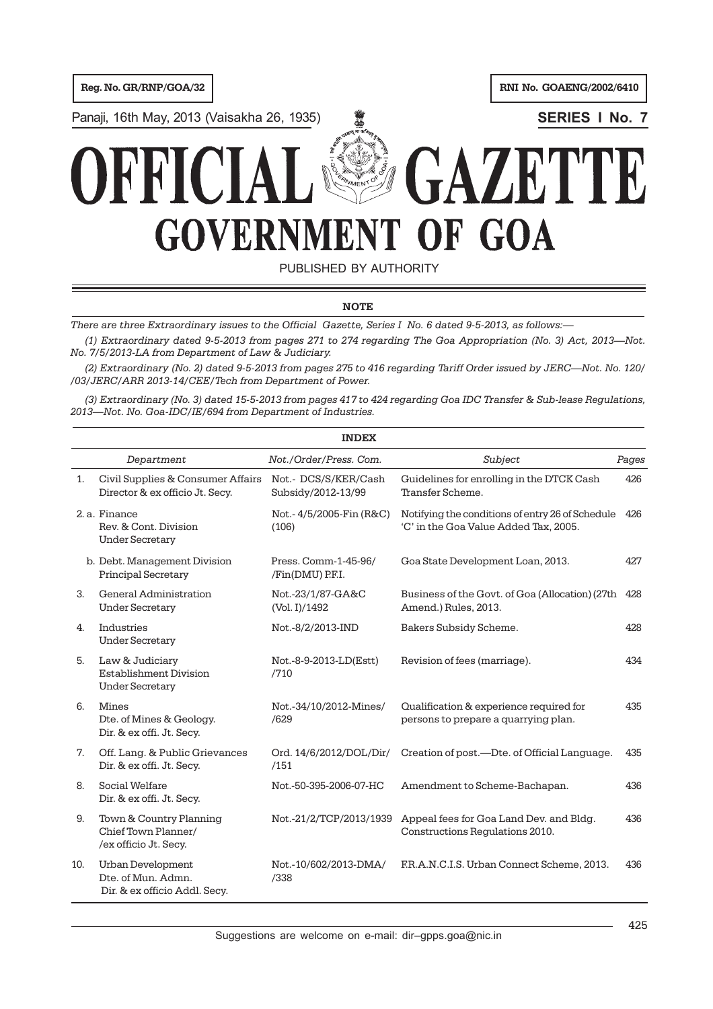**Reg. No. GR/RNP/GOA/32 RNI No. GOAENG/2002/6410** 

Panaji, 16th May, 2013 (Vaisakha 26, 1935) **<b>SERIES I No. 7** 



PUBLISHED BY AUTHORITY

# **NOTE**

*There are three Extraordinary issues to the Official Gazette, Series I No. 6 dated 9-5-2013, as follows:—*

*(1) Extraordinary dated 9-5-2013 from pages 271 to 274 regarding The Goa Appropriation (No. 3) Act, 2013—Not. No. 7/5/2013-LA from Department of Law & Judiciary.*

*(2) Extraordinary (No. 2) dated 9-5-2013 from pages 275 to 416 regarding Tariff Order issued by JERC—Not. No. 120/ /03/JERC/ARR 2013-14/CEE/Tech from Department of Power.*

*(3) Extraordinary (No. 3) dated 15-5-2013 from pages 417 to 424 regarding Goa IDC Transfer & Sub-lease Regulations, 2013—Not. No. Goa-IDC/IE/694 from Department of Industries.*

|     |                                                                                 | <b>INDEX</b>                               |                                                                                           |       |
|-----|---------------------------------------------------------------------------------|--------------------------------------------|-------------------------------------------------------------------------------------------|-------|
|     | Department                                                                      | Not./Order/Press. Com.                     | Subject                                                                                   | Pages |
| 1.  | Civil Supplies & Consumer Affairs<br>Director & ex officio Jt. Secy.            | Not.- DCS/S/KER/Cash<br>Subsidy/2012-13/99 | Guidelines for enrolling in the DTCK Cash<br>Transfer Scheme.                             | 426   |
|     | 2. a. Finance<br>Rev. & Cont. Division<br><b>Under Secretary</b>                | Not.-4/5/2005-Fin (R&C)<br>(106)           | Notifying the conditions of entry 26 of Schedule<br>'C' in the Goa Value Added Tax, 2005. | 426   |
|     | b. Debt. Management Division<br><b>Principal Secretary</b>                      | Press. Comm-1-45-96/<br>/Fin(DMU) P.F.I.   | Goa State Development Loan, 2013.                                                         | 427   |
| 3.  | General Administration<br><b>Under Secretary</b>                                | Not.-23/1/87-GA&C<br>(Vol. I)/1492         | Business of the Govt. of Goa (Allocation) (27th<br>Amend.) Rules, 2013.                   | 428   |
| 4.  | Industries<br><b>Under Secretary</b>                                            | Not.-8/2/2013-IND                          | Bakers Subsidy Scheme.                                                                    | 428   |
| 5.  | Law & Judiciary<br><b>Establishment Division</b><br><b>Under Secretary</b>      | Not.-8-9-2013-LD(Estt)<br>/710             | Revision of fees (marriage).                                                              | 434   |
| 6.  | <b>Mines</b><br>Dte. of Mines & Geology.<br>Dir. & ex offi. Jt. Secy.           | Not.-34/10/2012-Mines/<br>/629             | Qualification & experience required for<br>persons to prepare a quarrying plan.           | 435   |
| 7.  | Off. Lang. & Public Grievances<br>Dir. & ex offi. Jt. Secy.                     | Ord. 14/6/2012/DOL/Dir/<br>/151            | Creation of post.—Dte. of Official Language.                                              | 435   |
| 8.  | Social Welfare<br>Dir. & ex offi. Jt. Secy.                                     | Not.-50-395-2006-07-HC                     | Amendment to Scheme-Bachapan.                                                             | 436   |
| 9.  | Town & Country Planning<br>Chief Town Planner/<br>/ex officio Jt. Secy.         | Not.-21/2/TCP/2013/1939                    | Appeal fees for Goa Land Dev. and Bldg.<br>Constructions Regulations 2010.                | 436   |
| 10. | <b>Urban Development</b><br>Dte. of Mun. Admn.<br>Dir. & ex officio Addl. Secy. | Not.-10/602/2013-DMA/<br>/338              | F.R.A.N.C.I.S. Urban Connect Scheme, 2013.                                                | 436   |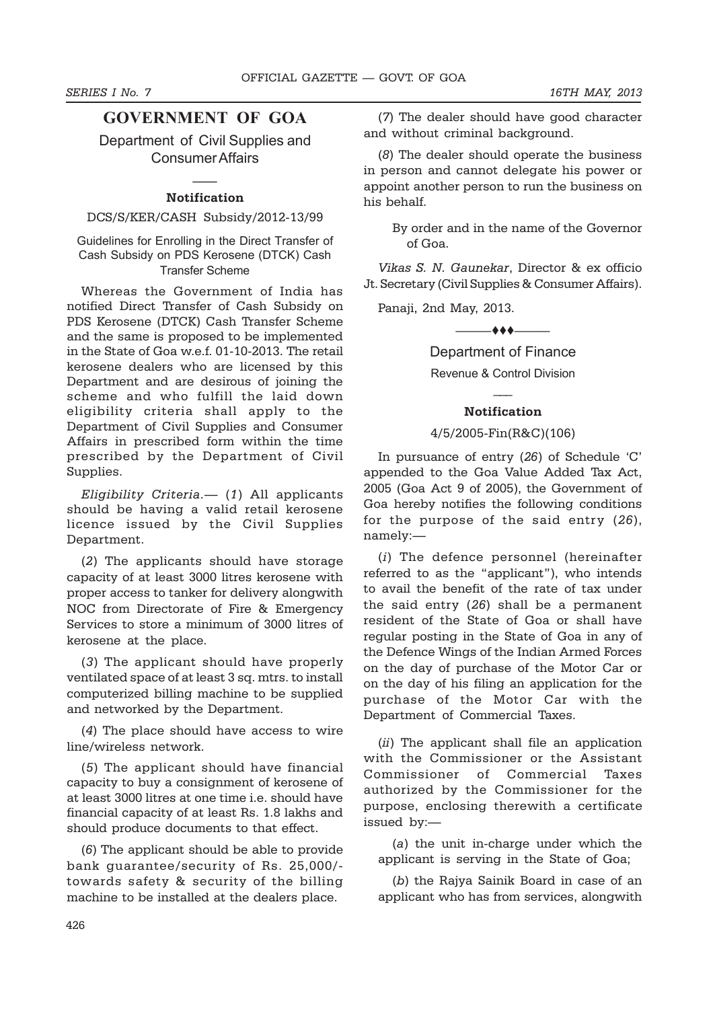# **GOVERNMENT OF GOA**

Department of Civil Supplies and Consumer Affairs

# $\overline{\phantom{a}}$ **Notification**

# DCS/S/KER/CASH Subsidy/2012-13/99

Guidelines for Enrolling in the Direct Transfer of Cash Subsidy on PDS Kerosene (DTCK) Cash Transfer Scheme

Whereas the Government of India has notified Direct Transfer of Cash Subsidy on PDS Kerosene (DTCK) Cash Transfer Scheme and the same is proposed to be implemented in the State of Goa w.e.f. 01-10-2013. The retail kerosene dealers who are licensed by this Department and are desirous of joining the scheme and who fulfill the laid down eligibility criteria shall apply to the Department of Civil Supplies and Consumer Affairs in prescribed form within the time prescribed by the Department of Civil Supplies.

*Eligibility Criteria.*— (*1*) All applicants should be having a valid retail kerosene licence issued by the Civil Supplies Department.

(*2*) The applicants should have storage capacity of at least 3000 litres kerosene with proper access to tanker for delivery alongwith NOC from Directorate of Fire & Emergency Services to store a minimum of 3000 litres of kerosene at the place.

(*3*) The applicant should have properly ventilated space of at least 3 sq. mtrs. to install computerized billing machine to be supplied and networked by the Department.

(*4*) The place should have access to wire line/wireless network.

(*5*) The applicant should have financial capacity to buy a consignment of kerosene of at least 3000 litres at one time i.e. should have financial capacity of at least Rs. 1.8 lakhs and should produce documents to that effect.

(*6*) The applicant should be able to provide bank guarantee/security of Rs. 25,000/ towards safety & security of the billing machine to be installed at the dealers place.

(*7*) The dealer should have good character and without criminal background.

(*8*) The dealer should operate the business in person and cannot delegate his power or appoint another person to run the business on his behalf.

> By order and in the name of the Governor of Goa.

*Vikas S. N. Gaunekar*, Director & ex officio Jt. Secretary (Civil Supplies & Consumer Affairs).

Panaji, 2nd May, 2013.

 $\longrightarrow\bullet\bullet\longrightarrow$ 

Department of Finance

Revenue & Control Division  $\overline{\phantom{a}}$ 

# **Notification**

# 4/5/2005-Fin(R&C)(106)

In pursuance of entry (*26*) of Schedule 'C' appended to the Goa Value Added Tax Act, 2005 (Goa Act 9 of 2005), the Government of Goa hereby notifies the following conditions for the purpose of the said entry (*26*), namely:—

(*i*) The defence personnel (hereinafter referred to as the "applicant"), who intends to avail the benefit of the rate of tax under the said entry (*26*) shall be a permanent resident of the State of Goa or shall have regular posting in the State of Goa in any of the Defence Wings of the Indian Armed Forces on the day of purchase of the Motor Car or on the day of his filing an application for the purchase of the Motor Car with the Department of Commercial Taxes.

(*ii*) The applicant shall file an application with the Commissioner or the Assistant Commissioner of Commercial Taxes authorized by the Commissioner for the purpose, enclosing therewith a certificate issued by:—

(*a*) the unit in-charge under which the applicant is serving in the State of Goa;

(*b*) the Rajya Sainik Board in case of an applicant who has from services, alongwith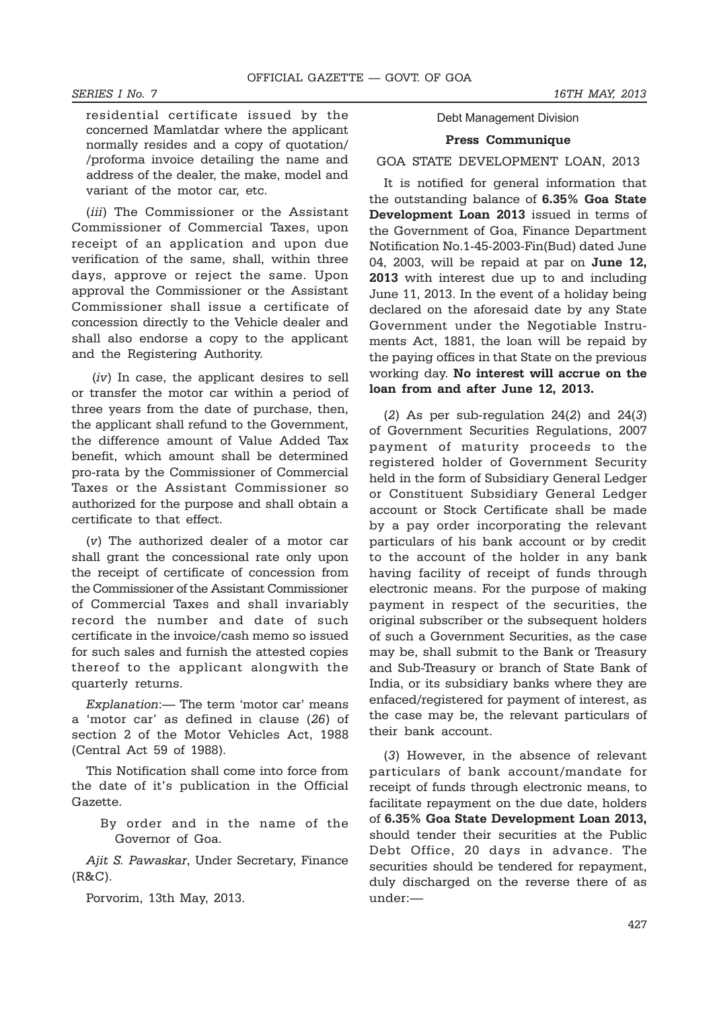residential certificate issued by the concerned Mamlatdar where the applicant normally resides and a copy of quotation/ /proforma invoice detailing the name and address of the dealer, the make, model and variant of the motor car, etc.

(*iii*) The Commissioner or the Assistant Commissioner of Commercial Taxes, upon receipt of an application and upon due verification of the same, shall, within three days, approve or reject the same. Upon approval the Commissioner or the Assistant Commissioner shall issue a certificate of concession directly to the Vehicle dealer and shall also endorse a copy to the applicant and the Registering Authority.

 (*iv*) In case, the applicant desires to sell or transfer the motor car within a period of three years from the date of purchase, then, the applicant shall refund to the Government, the difference amount of Value Added Tax benefit, which amount shall be determined pro-rata by the Commissioner of Commercial Taxes or the Assistant Commissioner so authorized for the purpose and shall obtain a certificate to that effect.

(*v*) The authorized dealer of a motor car shall grant the concessional rate only upon the receipt of certificate of concession from the Commissioner of the Assistant Commissioner of Commercial Taxes and shall invariably record the number and date of such certificate in the invoice/cash memo so issued for such sales and furnish the attested copies thereof to the applicant alongwith the quarterly returns.

*Explanation*:— The term 'motor car' means a 'motor car' as defined in clause (*26*) of section 2 of the Motor Vehicles Act, 1988 (Central Act 59 of 1988).

This Notification shall come into force from the date of it's publication in the Official Gazette.

> By order and in the name of the Governor of Goa.

*Ajit S. Pawaskar*, Under Secretary, Finance (R&C).

Porvorim, 13th May, 2013.

# Debt Management Division

## **Press Communique**

# GOA STATE DEVELOPMENT LOAN, 2013

It is notified for general information that the outstanding balance of **6.35% Goa State Development Loan 2013** issued in terms of the Government of Goa, Finance Department Notification No.1-45-2003-Fin(Bud) dated June 04, 2003, will be repaid at par on **June 12, 2013** with interest due up to and including June 11, 2013. In the event of a holiday being declared on the aforesaid date by any State Government under the Negotiable Instruments Act, 1881, the loan will be repaid by the paying offices in that State on the previous working day. **No interest will accrue on the loan from and after June 12, 2013.**

(*2*) As per sub-regulation 24(*2*) and 24(*3*) of Government Securities Regulations, 2007 payment of maturity proceeds to the registered holder of Government Security held in the form of Subsidiary General Ledger or Constituent Subsidiary General Ledger account or Stock Certificate shall be made by a pay order incorporating the relevant particulars of his bank account or by credit to the account of the holder in any bank having facility of receipt of funds through electronic means. For the purpose of making payment in respect of the securities, the original subscriber or the subsequent holders of such a Government Securities, as the case may be, shall submit to the Bank or Treasury and Sub-Treasury or branch of State Bank of India, or its subsidiary banks where they are enfaced/registered for payment of interest, as the case may be, the relevant particulars of their bank account.

(*3*) However, in the absence of relevant particulars of bank account/mandate for receipt of funds through electronic means, to facilitate repayment on the due date, holders of **6.35% Goa State Development Loan 2013,** should tender their securities at the Public Debt Office, 20 days in advance. The securities should be tendered for repayment, duly discharged on the reverse there of as under:—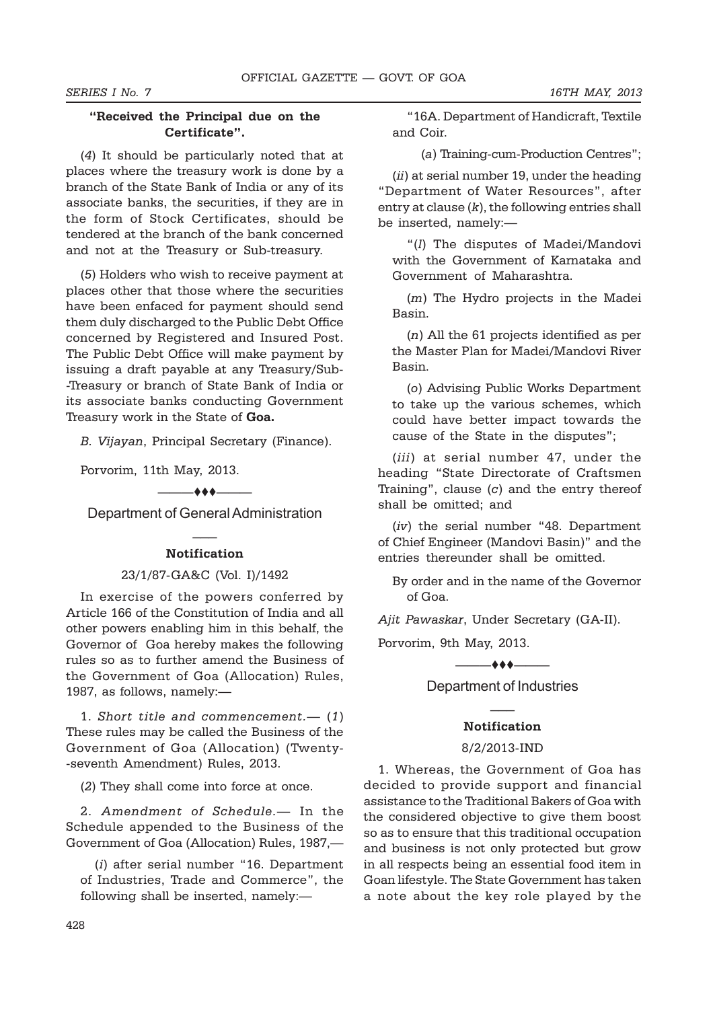# **"Received the Principal due on the Certificate".**

(*4*) It should be particularly noted that at places where the treasury work is done by a branch of the State Bank of India or any of its associate banks, the securities, if they are in the form of Stock Certificates, should be tendered at the branch of the bank concerned and not at the Treasury or Sub-treasury.

(*5*) Holders who wish to receive payment at places other that those where the securities have been enfaced for payment should send them duly discharged to the Public Debt Office concerned by Registered and Insured Post. The Public Debt Office will make payment by issuing a draft payable at any Treasury/Sub- -Treasury or branch of State Bank of India or its associate banks conducting Government Treasury work in the State of **Goa.**

*B. Vijayan*, Principal Secretary (Finance).

Porvorim, 11th May, 2013.

 $\longrightarrow$ 

Department of General Administration  $\overline{\phantom{a}}$ 

# **Notification**

# 23/1/87-GA&C (Vol. I)/1492

In exercise of the powers conferred by Article 166 of the Constitution of India and all other powers enabling him in this behalf, the Governor of Goa hereby makes the following rules so as to further amend the Business of the Government of Goa (Allocation) Rules, 1987, as follows, namely:—

1. *Short title and commencement.*— (*1*) These rules may be called the Business of the Government of Goa (Allocation) (Twenty- -seventh Amendment) Rules, 2013.

(*2*) They shall come into force at once.

2. *Amendment of Schedule.*— In the Schedule appended to the Business of the Government of Goa (Allocation) Rules, 1987,—

(*i*) after serial number "16. Department of Industries, Trade and Commerce", the following shall be inserted, namely:—

"16A. Department of Handicraft, Textile and Coir.

(*a*) Training-cum-Production Centres";

(*ii*) at serial number 19, under the heading "Department of Water Resources", after entry at clause (*k*), the following entries shall be inserted, namely:—

"(*l*) The disputes of Madei/Mandovi with the Government of Karnataka and Government of Maharashtra.

(*m*) The Hydro projects in the Madei Basin.

(*n*) All the 61 projects identified as per the Master Plan for Madei/Mandovi River Basin.

(*o*) Advising Public Works Department to take up the various schemes, which could have better impact towards the cause of the State in the disputes";

(*iii*) at serial number 47, under the heading "State Directorate of Craftsmen Training", clause (*c*) and the entry thereof shall be omitted; and

(*iv*) the serial number "48. Department of Chief Engineer (Mandovi Basin)" and the entries thereunder shall be omitted.

By order and in the name of the Governor of Goa.

*Ajit Pawaskar*, Under Secretary (GA-II).

Porvorim, 9th May, 2013.

 $\longrightarrow$ 

Department of Industries  $\overline{\phantom{a}}$ 

## **Notification**

# 8/2/2013-IND

1. Whereas, the Government of Goa has decided to provide support and financial assistance to the Traditional Bakers of Goa with the considered objective to give them boost so as to ensure that this traditional occupation and business is not only protected but grow in all respects being an essential food item in Goan lifestyle. The State Government has taken a note about the key role played by the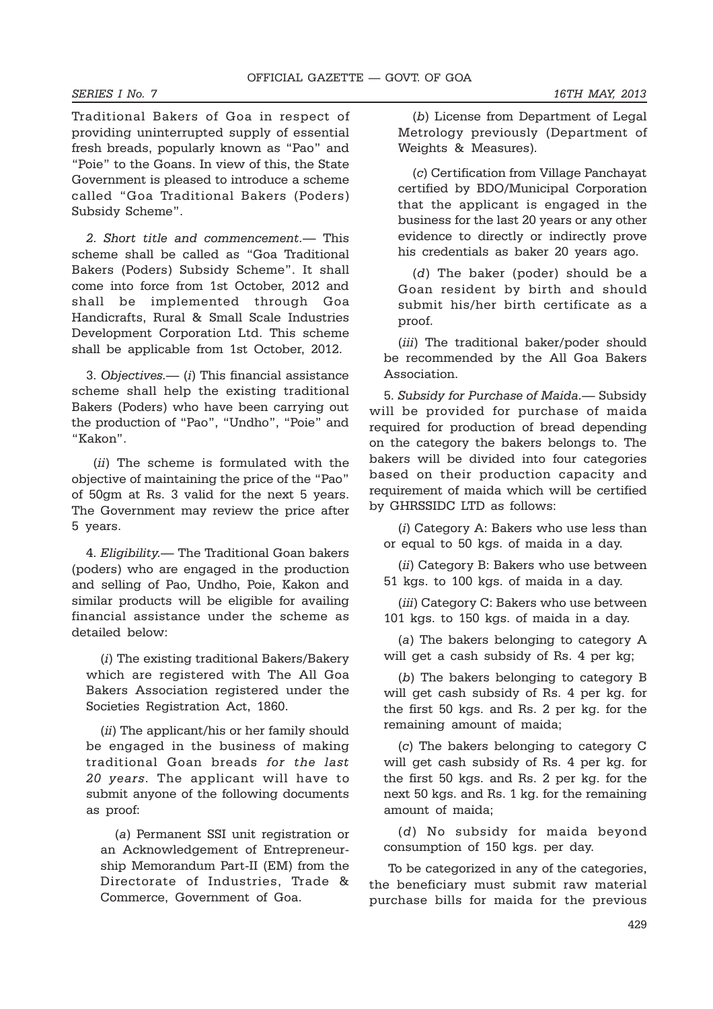Traditional Bakers of Goa in respect of providing uninterrupted supply of essential fresh breads, popularly known as "Pao" and "Poie" to the Goans. In view of this, the State Government is pleased to introduce a scheme called "Goa Traditional Bakers (Poders) Subsidy Scheme".

*2*. *Short title and commencement.*— This scheme shall be called as "Goa Traditional Bakers (Poders) Subsidy Scheme". It shall come into force from 1st October, 2012 and shall be implemented through Goa Handicrafts, Rural & Small Scale Industries Development Corporation Ltd. This scheme shall be applicable from 1st October, 2012.

3. *Objectives.*— (*i*) This financial assistance scheme shall help the existing traditional Bakers (Poders) who have been carrying out the production of "Pao", "Undho", "Poie" and "Kakon".

 (*ii*) The scheme is formulated with the objective of maintaining the price of the "Pao" of 50gm at Rs. 3 valid for the next 5 years. The Government may review the price after 5 years.

4. *Eligibility.*— The Traditional Goan bakers (poders) who are engaged in the production and selling of Pao, Undho, Poie, Kakon and similar products will be eligible for availing financial assistance under the scheme as detailed below:

(*i*) The existing traditional Bakers/Bakery which are registered with The All Goa Bakers Association registered under the Societies Registration Act, 1860.

(*ii*) The applicant/his or her family should be engaged in the business of making traditional Goan breads *for the last 20 years*. The applicant will have to submit anyone of the following documents as proof:

(*a*) Permanent SSI unit registration or an Acknowledgement of Entrepreneurship Memorandum Part-II (EM) from the Directorate of Industries, Trade & Commerce, Government of Goa.

(*b*) License from Department of Legal Metrology previously (Department of Weights & Measures).

(*c*) Certification from Village Panchayat certified by BDO/Municipal Corporation that the applicant is engaged in the business for the last 20 years or any other evidence to directly or indirectly prove his credentials as baker 20 years ago.

(*d*) The baker (poder) should be a Goan resident by birth and should submit his/her birth certificate as a proof.

(*iii*) The traditional baker/poder should be recommended by the All Goa Bakers Association.

5. *Subsidy for Purchase of Maida.*— Subsidy will be provided for purchase of maida required for production of bread depending on the category the bakers belongs to. The bakers will be divided into four categories based on their production capacity and requirement of maida which will be certified by GHRSSIDC LTD as follows:

(*i*) Category A: Bakers who use less than or equal to 50 kgs. of maida in a day.

(*ii*) Category B: Bakers who use between 51 kgs. to 100 kgs. of maida in a day.

(*iii*) Category C: Bakers who use between 101 kgs. to 150 kgs. of maida in a day.

(*a*) The bakers belonging to category A will get a cash subsidy of Rs. 4 per kg;

(*b*) The bakers belonging to category B will get cash subsidy of Rs. 4 per kg. for the first 50 kgs. and Rs. 2 per kg. for the remaining amount of maida;

(*c*) The bakers belonging to category C will get cash subsidy of Rs. 4 per kg. for the first 50 kgs. and Rs. 2 per kg. for the next 50 kgs. and Rs. 1 kg. for the remaining amount of maida;

(*d*) No subsidy for maida beyond consumption of 150 kgs. per day.

 To be categorized in any of the categories, the beneficiary must submit raw material purchase bills for maida for the previous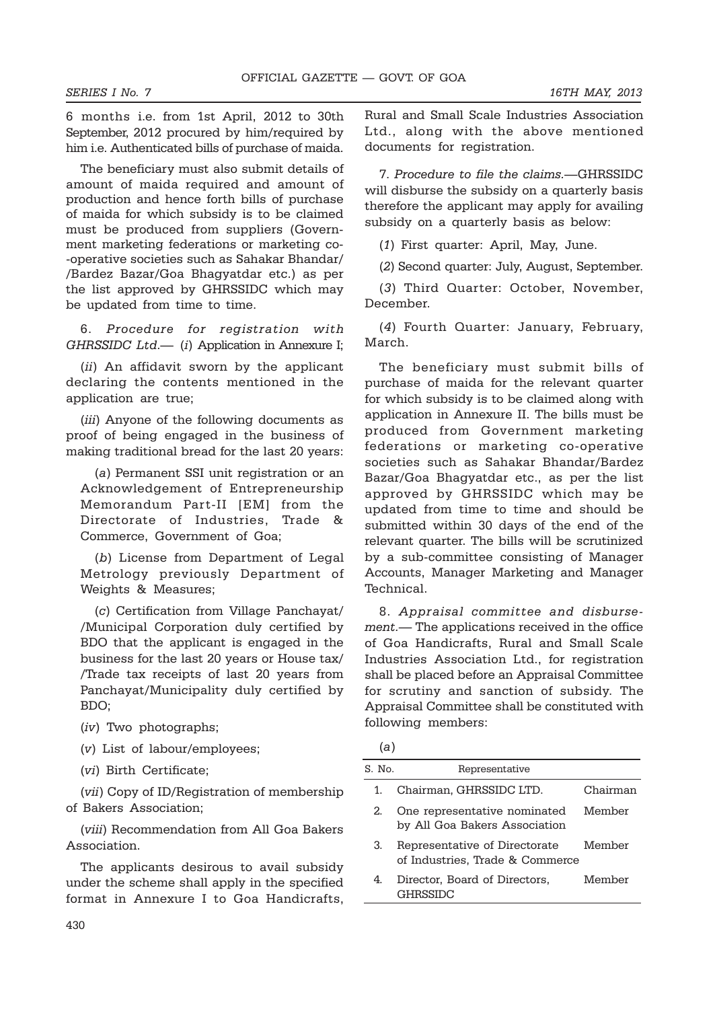6 months i.e. from 1st April, 2012 to 30th September, 2012 procured by him/required by him i.e. Authenticated bills of purchase of maida.

The beneficiary must also submit details of amount of maida required and amount of production and hence forth bills of purchase of maida for which subsidy is to be claimed must be produced from suppliers (Government marketing federations or marketing co- -operative societies such as Sahakar Bhandar/ /Bardez Bazar/Goa Bhagyatdar etc.) as per the list approved by GHRSSIDC which may be updated from time to time.

6. *Procedure for registration with GHRSSIDC Ltd*.— (*i*) Application in Annexure I;

(*ii*) An affidavit sworn by the applicant declaring the contents mentioned in the application are true;

(*iii*) Anyone of the following documents as proof of being engaged in the business of making traditional bread for the last 20 years:

(*a*) Permanent SSI unit registration or an Acknowledgement of Entrepreneurship Memorandum Part-II [EM] from the Directorate of Industries, Trade & Commerce, Government of Goa;

(*b*) License from Department of Legal Metrology previously Department of Weights & Measures;

(*c*) Certification from Village Panchayat/ /Municipal Corporation duly certified by BDO that the applicant is engaged in the business for the last 20 years or House tax/ /Trade tax receipts of last 20 years from Panchayat/Municipality duly certified by BDO;

(*iv*) Two photographs;

(*v*) List of labour/employees;

(*vi*) Birth Certificate;

(*vii*) Copy of ID/Registration of membership of Bakers Association;

(*viii*) Recommendation from All Goa Bakers Association.

The applicants desirous to avail subsidy under the scheme shall apply in the specified format in Annexure I to Goa Handicrafts,

Rural and Small Scale Industries Association Ltd., along with the above mentioned documents for registration.

7. *Procedure to file the claims.—*GHRSSIDC will disburse the subsidy on a quarterly basis therefore the applicant may apply for availing subsidy on a quarterly basis as below:

(*1*) First quarter: April, May, June.

(*2*) Second quarter: July, August, September.

(*3*) Third Quarter: October, November, December.

(*4*) Fourth Quarter: January, February, March.

The beneficiary must submit bills of purchase of maida for the relevant quarter for which subsidy is to be claimed along with application in Annexure II. The bills must be produced from Government marketing federations or marketing co-operative societies such as Sahakar Bhandar/Bardez Bazar/Goa Bhagyatdar etc., as per the list approved by GHRSSIDC which may be updated from time to time and should be submitted within 30 days of the end of the relevant quarter. The bills will be scrutinized by a sub-committee consisting of Manager Accounts, Manager Marketing and Manager Technical.

8. *Appraisal committee and disbursement.*— The applications received in the office of Goa Handicrafts, Rural and Small Scale Industries Association Ltd., for registration shall be placed before an Appraisal Committee for scrutiny and sanction of subsidy. The Appraisal Committee shall be constituted with following members:

| S. No. | Representative                                                   |          |
|--------|------------------------------------------------------------------|----------|
| 1.     | Chairman, GHRSSIDC LTD.                                          | Chairman |
| 2.     | One representative nominated<br>by All Goa Bakers Association    | Member   |
| 3.     | Representative of Directorate<br>of Industries. Trade & Commerce | Member   |
| 4.     | Director, Board of Directors,<br><b>GHRSSIDC</b>                 | Member   |
|        |                                                                  |          |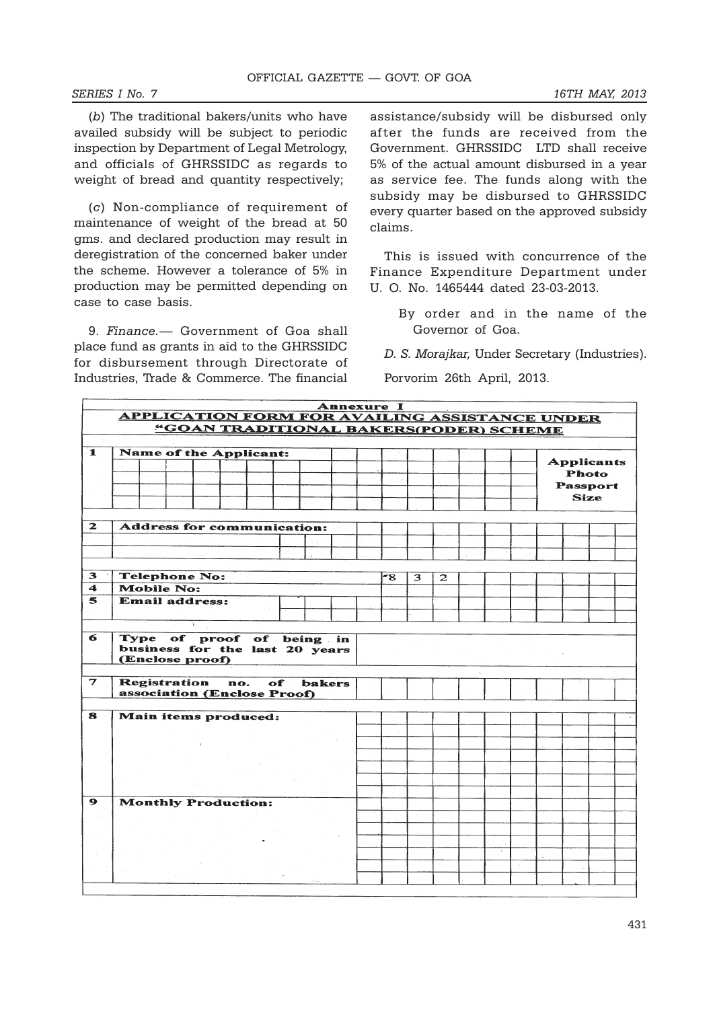#### *SERIES I No. 7 16TH MAY, 2013*

(*b*) The traditional bakers/units who have availed subsidy will be subject to periodic inspection by Department of Legal Metrology, and officials of GHRSSIDC as regards to weight of bread and quantity respectively;

(*c*) Non-compliance of requirement of maintenance of weight of the bread at 50 gms. and declared production may result in deregistration of the concerned baker under the scheme. However a tolerance of 5% in production may be permitted depending on case to case basis.

9. *Finance.*— Government of Goa shall place fund as grants in aid to the GHRSSIDC for disbursement through Directorate of Industries, Trade & Commerce. The financial assistance/subsidy will be disbursed only after the funds are received from the Government. GHRSSIDC LTD shall receive 5% of the actual amount disbursed in a year as service fee. The funds along with the subsidy may be disbursed to GHRSSIDC every quarter based on the approved subsidy claims.

This is issued with concurrence of the Finance Expenditure Department under U. O. No. 1465444 dated 23-03-2013.

By order and in the name of the Governor of Goa.

*D. S. Morajkar,* Under Secretary (Industries).

Porvorim 26th April, 2013.

|                         | <b>Annexure I</b>                                                                        |  |                       |  |     |                                                        |    |  |               |  |    |   |              |  |  |                   |  |
|-------------------------|------------------------------------------------------------------------------------------|--|-----------------------|--|-----|--------------------------------------------------------|----|--|---------------|--|----|---|--------------|--|--|-------------------|--|
|                         | APPLICATION FORM FOR AVAILING ASSISTANCE UNDER<br>"GOAN TRADITIONAL BAKERS(PODER) SCHEME |  |                       |  |     |                                                        |    |  |               |  |    |   |              |  |  |                   |  |
|                         |                                                                                          |  |                       |  |     |                                                        |    |  |               |  |    |   |              |  |  |                   |  |
| $\mathbf{1}$            |                                                                                          |  |                       |  |     | <b>Name of the Applicant:</b>                          |    |  |               |  |    |   |              |  |  |                   |  |
|                         |                                                                                          |  |                       |  |     |                                                        |    |  |               |  |    |   |              |  |  | <b>Applicants</b> |  |
|                         |                                                                                          |  |                       |  |     |                                                        |    |  |               |  |    |   |              |  |  | <b>Photo</b>      |  |
|                         |                                                                                          |  |                       |  |     |                                                        |    |  |               |  |    |   |              |  |  | <b>Passport</b>   |  |
|                         |                                                                                          |  |                       |  |     |                                                        |    |  |               |  |    |   |              |  |  | <b>Size</b>       |  |
|                         |                                                                                          |  |                       |  |     |                                                        |    |  |               |  |    |   |              |  |  |                   |  |
| $\mathbf{z}$            |                                                                                          |  |                       |  |     | <b>Address for communication:</b>                      |    |  |               |  |    |   |              |  |  |                   |  |
|                         |                                                                                          |  |                       |  |     |                                                        |    |  |               |  |    |   |              |  |  |                   |  |
|                         |                                                                                          |  |                       |  |     |                                                        |    |  |               |  |    |   |              |  |  |                   |  |
| $\mathbf{3}$            |                                                                                          |  | <b>Telephone No:</b>  |  |     |                                                        |    |  |               |  | -8 |   |              |  |  |                   |  |
| $\blacktriangleleft$    |                                                                                          |  | <b>Mobile No:</b>     |  |     |                                                        |    |  |               |  |    | 3 | $\mathbf{z}$ |  |  |                   |  |
| 5                       |                                                                                          |  | <b>Email address:</b> |  |     |                                                        |    |  |               |  |    |   |              |  |  |                   |  |
|                         |                                                                                          |  |                       |  |     |                                                        |    |  |               |  |    |   |              |  |  |                   |  |
|                         |                                                                                          |  |                       |  |     |                                                        |    |  |               |  |    |   |              |  |  |                   |  |
|                         |                                                                                          |  | (Enclose proof)       |  |     | of proof of being in<br>business for the last 20 years |    |  |               |  |    |   |              |  |  |                   |  |
| $\overline{\mathbf{z}}$ |                                                                                          |  | <b>Registration</b>   |  | no. | association (Enclose Proof)                            | of |  | <b>bakers</b> |  |    |   |              |  |  |                   |  |
|                         |                                                                                          |  |                       |  |     |                                                        |    |  |               |  |    |   |              |  |  |                   |  |
| 8                       |                                                                                          |  |                       |  |     | Main items produced:                                   |    |  |               |  |    |   |              |  |  |                   |  |
|                         |                                                                                          |  |                       |  |     |                                                        |    |  |               |  |    |   |              |  |  |                   |  |
|                         |                                                                                          |  |                       |  |     |                                                        |    |  |               |  |    |   |              |  |  |                   |  |
|                         |                                                                                          |  |                       |  |     |                                                        |    |  |               |  |    |   |              |  |  |                   |  |
|                         |                                                                                          |  |                       |  |     |                                                        |    |  |               |  |    |   |              |  |  |                   |  |
|                         |                                                                                          |  |                       |  |     |                                                        |    |  |               |  |    |   |              |  |  |                   |  |
| $\bullet$               |                                                                                          |  |                       |  |     | <b>Monthly Production:</b>                             |    |  |               |  |    |   |              |  |  |                   |  |
|                         |                                                                                          |  |                       |  |     |                                                        |    |  |               |  |    |   |              |  |  |                   |  |
|                         |                                                                                          |  |                       |  |     |                                                        |    |  |               |  |    |   |              |  |  |                   |  |
|                         |                                                                                          |  |                       |  |     |                                                        |    |  |               |  |    |   |              |  |  |                   |  |
|                         |                                                                                          |  |                       |  |     |                                                        |    |  |               |  |    |   |              |  |  |                   |  |
|                         |                                                                                          |  |                       |  |     |                                                        |    |  |               |  |    |   |              |  |  |                   |  |
|                         |                                                                                          |  |                       |  |     |                                                        |    |  |               |  |    |   |              |  |  |                   |  |
|                         |                                                                                          |  |                       |  |     |                                                        |    |  |               |  |    |   |              |  |  |                   |  |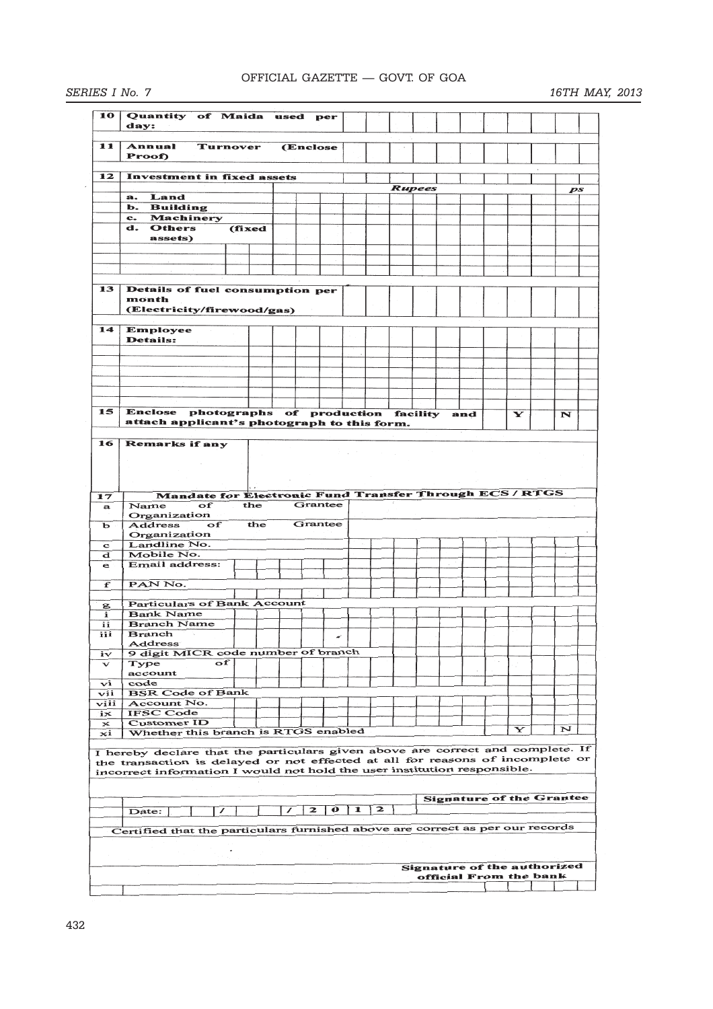# OFFICIAL GAZETTE — GOVT. OF GOA

| SERIES I No. 7 |  |  |
|----------------|--|--|
|                |  |  |

# *SERIES I No. 7 16TH MAY, 2013*

| 10           |                                                                                |          |     |   |              |           |   |   |                                    |  |                                 |   |    |
|--------------|--------------------------------------------------------------------------------|----------|-----|---|--------------|-----------|---|---|------------------------------------|--|---------------------------------|---|----|
|              | Quantity of Maida used per                                                     |          |     |   |              |           |   |   |                                    |  |                                 |   |    |
|              | day:                                                                           |          |     |   |              |           |   |   |                                    |  |                                 |   |    |
|              |                                                                                |          |     |   |              |           |   |   |                                    |  |                                 |   |    |
| 11           | Annual                                                                         | Turnover |     |   | (Enclose)    |           |   |   |                                    |  |                                 |   |    |
|              | Proof)                                                                         |          |     |   |              |           |   |   |                                    |  |                                 |   |    |
|              |                                                                                |          |     |   |              |           |   |   |                                    |  |                                 |   |    |
| 12           | <b>Investment in fixed assets</b>                                              |          |     |   |              |           |   |   |                                    |  |                                 |   |    |
|              |                                                                                |          |     |   |              |           |   |   | <b>Rupees</b>                      |  |                                 |   | ps |
|              | Land<br>a.                                                                     |          |     |   |              |           |   |   |                                    |  |                                 |   |    |
|              | b. Building                                                                    |          |     |   |              |           |   |   |                                    |  |                                 |   |    |
|              | c. Machinery                                                                   |          |     |   |              |           |   |   |                                    |  |                                 |   |    |
|              | d.<br>Others                                                                   | (fixed   |     |   |              |           |   |   |                                    |  |                                 |   |    |
|              | assets)                                                                        |          |     |   |              |           |   |   |                                    |  |                                 |   |    |
|              |                                                                                |          |     |   |              |           |   |   |                                    |  |                                 |   |    |
|              |                                                                                |          |     |   |              |           |   |   |                                    |  |                                 |   |    |
|              |                                                                                |          |     |   |              |           |   |   |                                    |  |                                 |   |    |
|              |                                                                                |          |     |   |              |           |   |   |                                    |  |                                 |   |    |
| 13           | Details of fuel consumption per                                                |          |     |   |              |           |   |   |                                    |  |                                 |   |    |
|              | month                                                                          |          |     |   |              |           |   |   |                                    |  |                                 |   |    |
|              | (Electricity/firewood/gas)                                                     |          |     |   |              |           |   |   |                                    |  |                                 |   |    |
|              |                                                                                |          |     |   |              |           |   |   |                                    |  |                                 |   |    |
| 14           | Employee                                                                       |          |     |   |              |           |   |   |                                    |  |                                 |   |    |
|              | <b>Details:</b>                                                                |          |     |   |              |           |   |   |                                    |  |                                 |   |    |
|              |                                                                                |          |     |   |              |           |   |   |                                    |  |                                 |   |    |
|              |                                                                                |          |     |   |              |           |   |   |                                    |  |                                 |   |    |
|              |                                                                                |          |     |   |              |           |   |   |                                    |  |                                 |   |    |
|              |                                                                                |          |     |   |              |           |   |   |                                    |  |                                 |   |    |
|              |                                                                                |          |     |   |              |           |   |   |                                    |  |                                 |   |    |
|              |                                                                                |          |     |   |              |           |   |   |                                    |  |                                 |   |    |
| 15           | Enclose photographs of production facility and                                 |          |     |   |              |           |   |   |                                    |  | Y                               | N |    |
|              | attach applicant's photograph to this form.                                    |          |     |   |              |           |   |   |                                    |  |                                 |   |    |
|              |                                                                                |          |     |   |              |           |   |   |                                    |  |                                 |   |    |
| 16           | Remarks if any                                                                 |          |     |   |              |           |   |   |                                    |  |                                 |   |    |
|              |                                                                                |          |     |   |              |           |   |   |                                    |  |                                 |   |    |
|              |                                                                                |          |     |   |              |           |   |   |                                    |  |                                 |   |    |
|              |                                                                                |          |     |   |              |           |   |   |                                    |  |                                 |   |    |
|              |                                                                                |          |     |   |              |           |   |   |                                    |  |                                 |   |    |
| 17           | Mandate for Electronic Fund Transfer Through ECS / RTGS                        |          |     |   |              |           |   |   |                                    |  |                                 |   |    |
| $\bf{a}$     | Name<br>of                                                                     | the      |     |   |              | Grantee   |   |   |                                    |  |                                 |   |    |
|              | Organization                                                                   |          |     |   |              |           |   |   |                                    |  |                                 |   |    |
| ь            | Address<br>оf                                                                  |          | the |   |              | Grantee   |   |   |                                    |  |                                 |   |    |
|              | Organization                                                                   |          |     |   |              |           |   |   |                                    |  |                                 |   |    |
| $\mathbf{C}$ |                                                                                |          |     |   |              |           |   |   |                                    |  |                                 |   |    |
| d            | Landline No.                                                                   |          |     |   |              |           |   |   |                                    |  |                                 |   |    |
|              | Mobile No.                                                                     |          |     |   |              |           |   |   |                                    |  |                                 |   |    |
| e            | Email address:                                                                 |          |     |   |              |           |   |   |                                    |  |                                 |   |    |
|              |                                                                                |          |     |   |              |           |   |   |                                    |  |                                 |   |    |
| f            | PAN No.                                                                        |          |     |   |              |           |   |   |                                    |  |                                 |   |    |
|              |                                                                                |          |     |   |              |           |   |   |                                    |  |                                 |   |    |
| g            | <b>Particulars of Bank Account</b>                                             |          |     |   |              |           |   |   |                                    |  |                                 |   |    |
| i            | <b>Bank Name</b>                                                               |          |     |   |              |           |   |   |                                    |  |                                 |   |    |
| ii           | <b>Branch Name</b>                                                             |          |     |   |              |           |   |   |                                    |  |                                 |   |    |
| iii          | <b>Branch</b>                                                                  |          |     |   |              | ×         |   |   |                                    |  |                                 |   |    |
|              | Address                                                                        |          |     |   |              |           |   |   |                                    |  |                                 |   |    |
| iv           | 9 digit MICR code number of branch                                             |          |     |   |              |           |   |   |                                    |  |                                 |   |    |
| $\mathbf v$  | Type<br>оf                                                                     |          |     |   |              |           |   |   |                                    |  |                                 |   |    |
|              | account                                                                        |          |     |   |              |           |   |   |                                    |  |                                 |   |    |
| vi           | code                                                                           |          |     |   |              |           |   |   |                                    |  |                                 |   |    |
| vii          | <b>BSR Code of Bank</b>                                                        |          |     |   |              |           |   |   |                                    |  |                                 |   |    |
| viii         | Account No.                                                                    |          |     |   |              |           |   |   |                                    |  |                                 |   |    |
| $i\infty$    | <b>IFSC Code</b>                                                               |          |     |   |              |           |   |   |                                    |  |                                 |   |    |
| $\mathbf x$  | <b>Customer ID</b>                                                             |          |     |   |              |           |   |   |                                    |  |                                 |   |    |
| ×і           | Whether this branch is RTGS enabled                                            |          |     |   |              |           |   |   |                                    |  | Y                               | N |    |
|              |                                                                                |          |     |   |              |           |   |   |                                    |  |                                 |   |    |
|              | I hereby declare that the particulars given above are correct and complete. If |          |     |   |              |           |   |   |                                    |  |                                 |   |    |
|              | the transaction is delayed or not effected at all for reasons of incomplete or |          |     |   |              |           |   |   |                                    |  |                                 |   |    |
|              | incorrect information I would not hold the user institution responsible.       |          |     |   |              |           |   |   |                                    |  |                                 |   |    |
|              |                                                                                |          |     |   |              |           |   |   |                                    |  |                                 |   |    |
|              |                                                                                |          |     |   |              |           |   |   |                                    |  |                                 |   |    |
|              |                                                                                |          |     |   |              |           |   |   |                                    |  | <b>Signature of the Grantee</b> |   |    |
|              | $\prime$<br>Date:                                                              |          |     | ∕ | $\mathbf{z}$ | $\bullet$ | 1 | 2 |                                    |  |                                 |   |    |
|              |                                                                                |          |     |   |              |           |   |   |                                    |  |                                 |   |    |
|              | Certified that the particulars furnished above are correct as per our records  |          |     |   |              |           |   |   |                                    |  |                                 |   |    |
|              |                                                                                |          |     |   |              |           |   |   |                                    |  |                                 |   |    |
|              |                                                                                |          |     |   |              |           |   |   |                                    |  |                                 |   |    |
|              |                                                                                |          |     |   |              |           |   |   |                                    |  |                                 |   |    |
|              |                                                                                |          |     |   |              |           |   |   | <b>Signature of the authorized</b> |  |                                 |   |    |
|              |                                                                                |          |     |   |              |           |   |   |                                    |  | official From the bank          |   |    |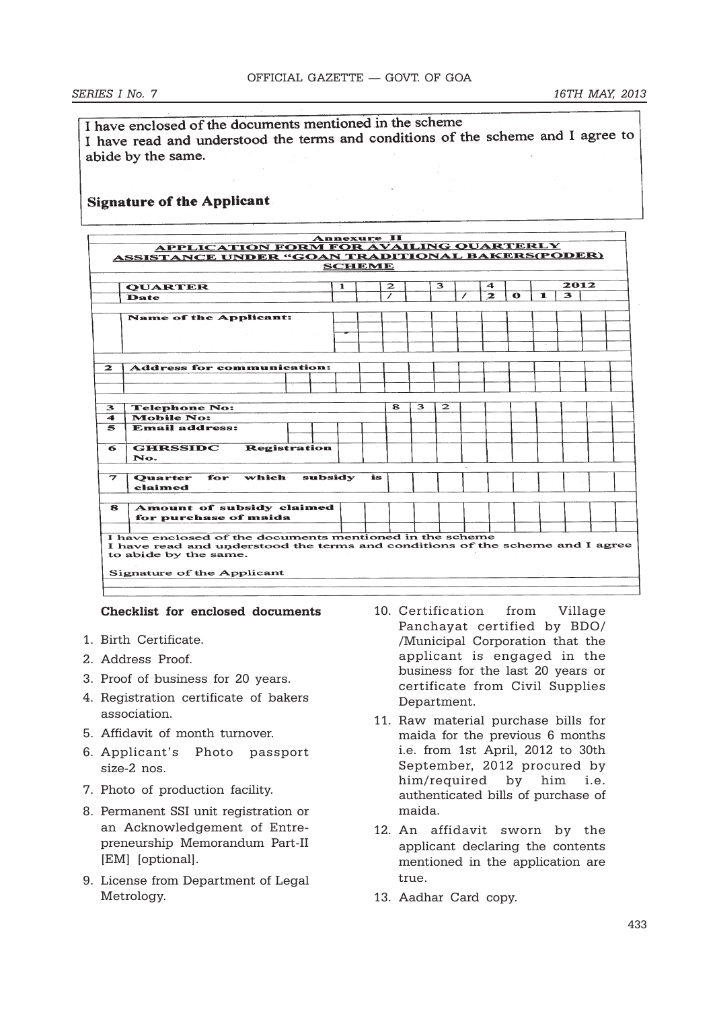I have enclosed of the documents mentioned in the scheme I have encrossed of the decommens and conditions of the scheme and I agree to abide by the same.

# **Signature of the Applicant**

|              | <b>ASSISTANCE UNDER "GOAN TRADITIONAL BAKERS(PODER)</b>                       |               |              |   |              |              |           |     |      |  |
|--------------|-------------------------------------------------------------------------------|---------------|--------------|---|--------------|--------------|-----------|-----|------|--|
|              |                                                                               | <b>SCHEME</b> |              |   |              |              |           |     |      |  |
|              | 1<br><b>QUARTER</b>                                                           |               | $\mathbf{z}$ |   | з            | 4            |           |     | 2012 |  |
|              | Date                                                                          |               |              |   |              | $\mathbf{z}$ | $\bullet$ | 11. | 3.   |  |
|              |                                                                               |               |              |   |              |              |           |     |      |  |
|              | <b>Name of the Applicant:</b>                                                 |               |              |   |              |              |           |     |      |  |
|              |                                                                               |               |              |   |              |              |           |     |      |  |
|              |                                                                               |               |              |   |              |              |           |     |      |  |
|              |                                                                               |               |              |   |              |              |           |     |      |  |
|              |                                                                               |               |              |   |              |              |           |     |      |  |
| $\mathbf{z}$ | <b>Address for communication:</b>                                             |               |              |   |              |              |           |     |      |  |
|              |                                                                               |               |              |   |              |              |           |     |      |  |
|              |                                                                               |               |              |   |              |              |           |     |      |  |
|              |                                                                               |               |              |   |              |              |           |     |      |  |
| 3            | <b>Telephone No:</b>                                                          |               | $\mathbf{R}$ | 3 | $\mathbf{z}$ |              |           |     |      |  |
| 4            | <b>Mobile No:</b>                                                             |               |              |   |              |              |           |     |      |  |
| $\mathbf{5}$ | <b>Email address:</b>                                                         |               |              |   |              |              |           |     |      |  |
|              |                                                                               |               |              |   |              |              |           |     |      |  |
| 6            | <b>GHRSSIDC</b><br><b>Registration</b>                                        |               |              |   |              |              |           |     |      |  |
|              | No.                                                                           |               |              |   |              |              |           |     |      |  |
|              |                                                                               |               |              |   |              |              |           |     |      |  |
| 7            | for<br>which<br>subsidy<br><b>Ouarter</b>                                     | is            |              |   |              |              |           |     |      |  |
|              | claimed                                                                       |               |              |   |              |              |           |     |      |  |
|              |                                                                               |               |              |   |              |              |           |     |      |  |
| 8            | Amount of subsidy claimed                                                     |               |              |   |              |              |           |     |      |  |
|              | for purchase of maida                                                         |               |              |   |              |              |           |     |      |  |
|              |                                                                               |               |              |   |              |              |           |     |      |  |
|              | I have enclosed of the documents mentioned in the scheme                      |               |              |   |              |              |           |     |      |  |
|              | I have read and understood the terms and conditions of the scheme and I agree |               |              |   |              |              |           |     |      |  |
|              | to abide by the same.                                                         |               |              |   |              |              |           |     |      |  |
|              |                                                                               |               |              |   |              |              |           |     |      |  |
|              | Signature of the Applicant                                                    |               |              |   |              |              |           |     |      |  |

## **Checklist for enclosed documents**

- 1. Birth Certificate.
- 2. Address Proof.
- 3. Proof of business for 20 years.
- 4. Registration certificate of bakers association.
- 5. Affidavit of month turnover.
- 6. Applicant's Photo passport size-2 nos.
- 7. Photo of production facility.
- 8. Permanent SSI unit registration or an Acknowledgement of Entrepreneurship Memorandum Part-II [EM] [optional].
- 9. License from Department of Legal Metrology.
- 10. Certification from Village Panchayat certified by BDO/ /Municipal Corporation that the applicant is engaged in the business for the last 20 years or certificate from Civil Supplies Department.
- 11. Raw material purchase bills for maida for the previous 6 months i.e. from 1st April, 2012 to 30th September, 2012 procured by him/required by him i.e. authenticated bills of purchase of maida.
- 12. An affidavit sworn by the applicant declaring the contents mentioned in the application are true.
- 13. Aadhar Card copy.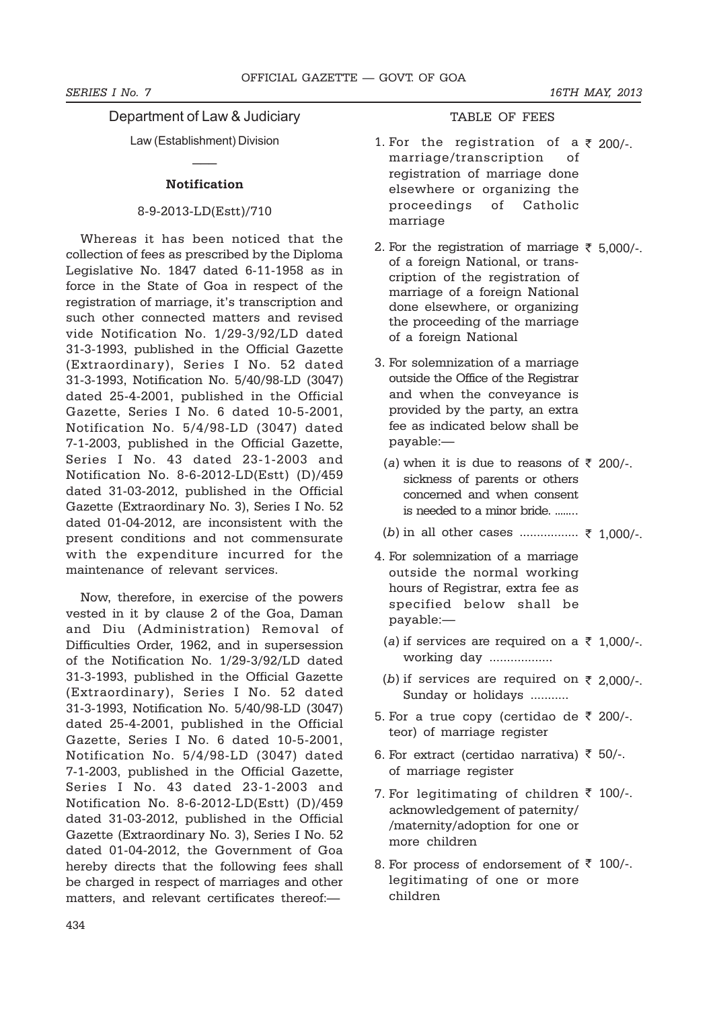# Department of Law & Judiciary TABLE OF FEES

Law (Establishment) Division  $\overline{\phantom{a}}$ 

## **Notification**

#### 8-9-2013-LD(Estt)/710

Whereas it has been noticed that the collection of fees as prescribed by the Diploma Legislative No. 1847 dated 6-11-1958 as in force in the State of Goa in respect of the registration of marriage, it's transcription and such other connected matters and revised vide Notification No. 1/29-3/92/LD dated 31-3-1993, published in the Official Gazette (Extraordinary), Series I No. 52 dated 31-3-1993, Notification No. 5/40/98-LD (3047) dated 25-4-2001, published in the Official Gazette, Series I No. 6 dated 10-5-2001, Notification No. 5/4/98-LD (3047) dated 7-1-2003, published in the Official Gazette, Series I No. 43 dated 23-1-2003 and Notification No. 8-6-2012-LD(Estt) (D)/459 dated 31-03-2012, published in the Official Gazette (Extraordinary No. 3), Series I No. 52 dated 01-04-2012, are inconsistent with the present conditions and not commensurate with the expenditure incurred for the maintenance of relevant services.

Now, therefore, in exercise of the powers vested in it by clause 2 of the Goa, Daman and Diu (Administration) Removal of Difficulties Order, 1962, and in supersession of the Notification No. 1/29-3/92/LD dated 31-3-1993, published in the Official Gazette (Extraordinary), Series I No. 52 dated 31-3-1993, Notification No. 5/40/98-LD (3047) dated 25-4-2001, published in the Official Gazette, Series I No. 6 dated 10-5-2001, Notification No. 5/4/98-LD (3047) dated 7-1-2003, published in the Official Gazette, Series I No. 43 dated 23-1-2003 and Notification No. 8-6-2012-LD(Estt) (D)/459 dated 31-03-2012, published in the Official Gazette (Extraordinary No. 3), Series I No. 52 dated 01-04-2012, the Government of Goa hereby directs that the following fees shall be charged in respect of marriages and other matters, and relevant certificates thereof:—

- 1. For the registration of a  $\bar{\tau}$  200/-. marriage/transcription of registration of marriage done elsewhere or organizing the proceedings of Catholic marriage
- 2. For the registration of marriage  $\bar{\tau}$  5,000/-. of a foreign National, or transcription of the registration of marriage of a foreign National done elsewhere, or organizing the proceeding of the marriage of a foreign National
- 3. For solemnization of a marriage outside the Office of the Registrar and when the conveyance is provided by the party, an extra fee as indicated below shall be payable:—
	- (a) when it is due to reasons of  $\bar{\tau}$  200/-. sickness of parents or others concerned and when consent is needed to a minor bride. ........
	- $(b)$  in all other cases ................ ₹ 1,000/-.
- 4. For solemnization of a marriage outside the normal working hours of Registrar, extra fee as specified below shall be payable:—
	- (a) if services are required on a  $\bar{\tau}$  1,000/-. working day ..................
	- (b) if services are required on  $\bar{\tau}$  2,000/-. Sunday or holidays ...........
- 5. For a true copy (certidao de ₹ 200/-. teor) of marriage register
- 6. For extract (certidao narrativa)  $\bar{\tau}$  50/-. of marriage register
- 7. For legitimating of children  $\bar{\tau}$  100/-. acknowledgement of paternity/ /maternity/adoption for one or more children
- 8. For process of endorsement of  $\bar{\tau}$  100/-. legitimating of one or more children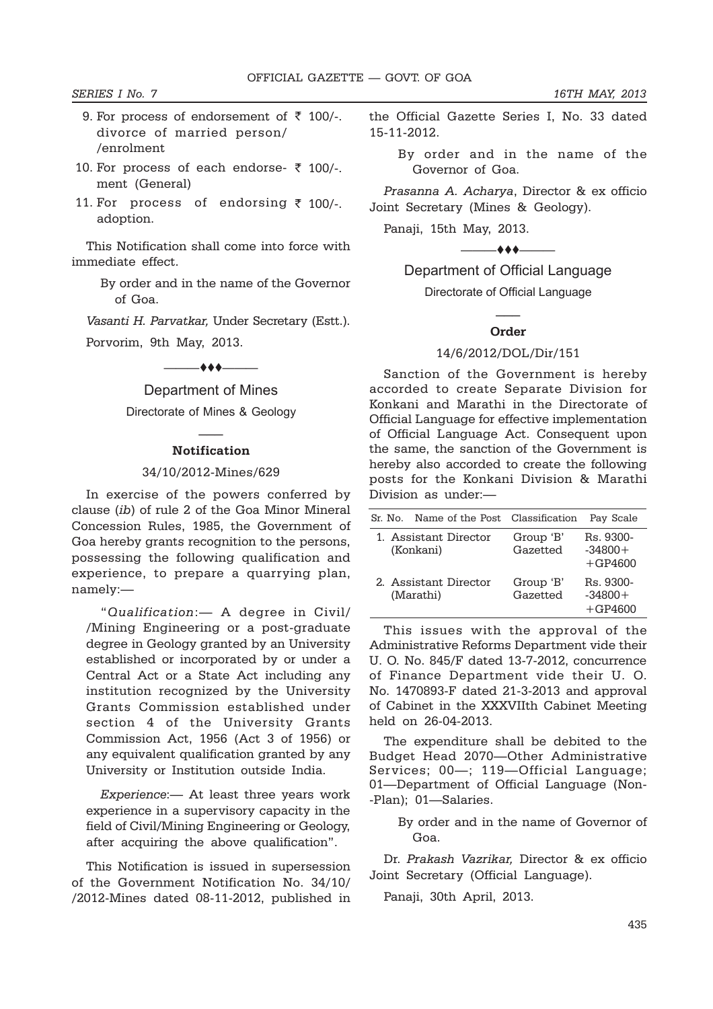#### *SERIES I No. 7 16TH MAY, 2013*

- 9. For process of endorsement of  $\bar{\tau}$  100/-. divorce of married person/ /enrolment
- 10. For process of each endorse- ₹ 100/-. ment (General)
- 11. For process of endorsing ₹ 100/-. adoption.

This Notification shall come into force with immediate effect.

> By order and in the name of the Governor of Goa.

*Vasanti H. Parvatkar,* Under Secretary (Estt.).

Porvorim, 9th May, 2013.

 $\overbrace{\qquad \qquad }^{}$ 

# Department of Mines

Directorate of Mines & Geology  $\overline{\phantom{a}}$ 

# **Notification**

#### 34/10/2012-Mines/629

In exercise of the powers conferred by clause (*ib*) of rule 2 of the Goa Minor Mineral Concession Rules, 1985, the Government of Goa hereby grants recognition to the persons, possessing the following qualification and experience, to prepare a quarrying plan, namely:—

"*Qualification*:— A degree in Civil/ /Mining Engineering or a post-graduate degree in Geology granted by an University established or incorporated by or under a Central Act or a State Act including any institution recognized by the University Grants Commission established under section 4 of the University Grants Commission Act, 1956 (Act 3 of 1956) or any equivalent qualification granted by any University or Institution outside India.

*Experience*:— At least three years work experience in a supervisory capacity in the field of Civil/Mining Engineering or Geology, after acquiring the above qualification".

This Notification is issued in supersession of the Government Notification No. 34/10/ /2012-Mines dated 08-11-2012, published in the Official Gazette Series I, No. 33 dated 15-11-2012.

By order and in the name of the Governor of Goa.

*Prasanna A. Acharya*, Director & ex officio Joint Secretary (Mines & Geology).

Panaji, 15th May, 2013.

 $-$ 

# Department of Official Language

Directorate of Official Language  $\overline{\phantom{a}}$ 

#### **Order**

#### 14/6/2012/DOL/Dir/151

Sanction of the Government is hereby accorded to create Separate Division for Konkani and Marathi in the Directorate of Official Language for effective implementation of Official Language Act. Consequent upon the same, the sanction of the Government is hereby also accorded to create the following posts for the Konkani Division & Marathi Division as under:—

| Sr. No.                            | Name of the Post Classification | Pav Scale                           |
|------------------------------------|---------------------------------|-------------------------------------|
| 1. Assistant Director<br>(Konkani) | Group 'B'<br>Gazetted           | Rs. 9300-<br>$-34800+$<br>$+GP4600$ |
| 2. Assistant Director<br>(Marathi) | Group 'B'<br>Gazetted           | Rs. 9300-<br>$-34800+$<br>$+GP4600$ |

This issues with the approval of the Administrative Reforms Department vide their U. O. No. 845/F dated 13-7-2012, concurrence of Finance Department vide their U. O. No. 1470893-F dated 21-3-2013 and approval of Cabinet in the XXXVIIth Cabinet Meeting held on 26-04-2013.

The expenditure shall be debited to the Budget Head 2070—Other Administrative Services; 00—; 119—Official Language; 01—Department of Official Language (Non- -Plan); 01—Salaries.

By order and in the name of Governor of Goa.

Dr. *Prakash Vazrikar,* Director & ex officio Joint Secretary (Official Language).

Panaji, 30th April, 2013.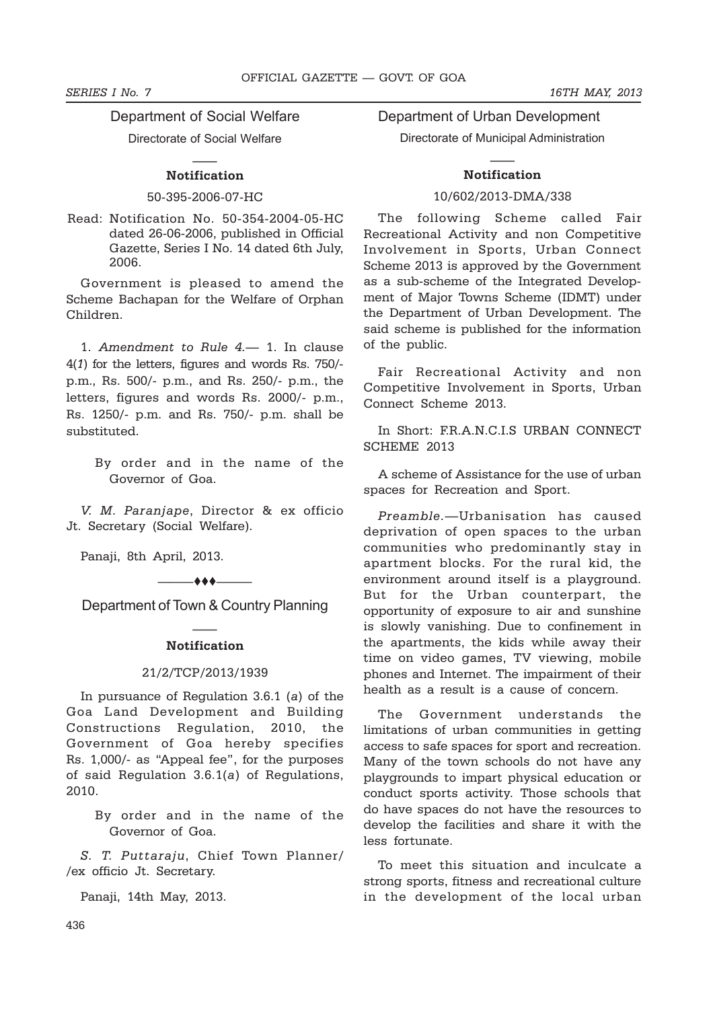*SERIES I No. 7 16TH MAY, 2013*

Department of Social Welfare

Directorate of Social Welfare  $\overline{\phantom{a}}$ 

# **Notification**

50-395-2006-07-HC

Read: Notification No. 50-354-2004-05-HC dated 26-06-2006, published in Official Gazette, Series I No. 14 dated 6th July, 2006.

Government is pleased to amend the Scheme Bachapan for the Welfare of Orphan Children.

1. *Amendment to Rule 4.*— 1. In clause 4(*1*) for the letters, figures and words Rs. 750/ p.m., Rs. 500/- p.m., and Rs. 250/- p.m., the letters, figures and words Rs. 2000/- p.m., Rs. 1250/- p.m. and Rs. 750/- p.m. shall be substituted.

> By order and in the name of the Governor of Goa.

*V. M. Paranjape*, Director & ex officio Jt. Secretary (Social Welfare).

Panaji, 8th April, 2013.

 $\longrightarrow$ Department of Town & Country Planning

# $\overline{\phantom{a}}$ **Notification**

#### 21/2/TCP/2013/1939

In pursuance of Regulation 3.6.1 (*a*) of the Goa Land Development and Building Constructions Regulation, 2010, the Government of Goa hereby specifies Rs. 1,000/- as "Appeal fee", for the purposes of said Regulation 3.6.1(*a*) of Regulations, 2010.

> By order and in the name of the Governor of Goa.

*S. T. Puttaraju*, Chief Town Planner/ /ex officio Jt. Secretary.

Panaji, 14th May, 2013.

Department of Urban Development Directorate of Municipal Administration

# $\overline{\phantom{a}}$ **Notification**

# 10/602/2013-DMA/338

The following Scheme called Fair Recreational Activity and non Competitive Involvement in Sports, Urban Connect Scheme 2013 is approved by the Government as a sub-scheme of the Integrated Development of Major Towns Scheme (IDMT) under the Department of Urban Development. The said scheme is published for the information of the public.

Fair Recreational Activity and non Competitive Involvement in Sports, Urban Connect Scheme 2013.

In Short: F.R.A.N.C.I.S URBAN CONNECT SCHEME 2013

A scheme of Assistance for the use of urban spaces for Recreation and Sport.

*Preamble.*—Urbanisation has caused deprivation of open spaces to the urban communities who predominantly stay in apartment blocks. For the rural kid, the environment around itself is a playground. But for the Urban counterpart, the opportunity of exposure to air and sunshine is slowly vanishing. Due to confinement in the apartments, the kids while away their time on video games, TV viewing, mobile phones and Internet. The impairment of their health as a result is a cause of concern.

The Government understands the limitations of urban communities in getting access to safe spaces for sport and recreation. Many of the town schools do not have any playgrounds to impart physical education or conduct sports activity. Those schools that do have spaces do not have the resources to develop the facilities and share it with the less fortunate.

To meet this situation and inculcate a strong sports, fitness and recreational culture in the development of the local urban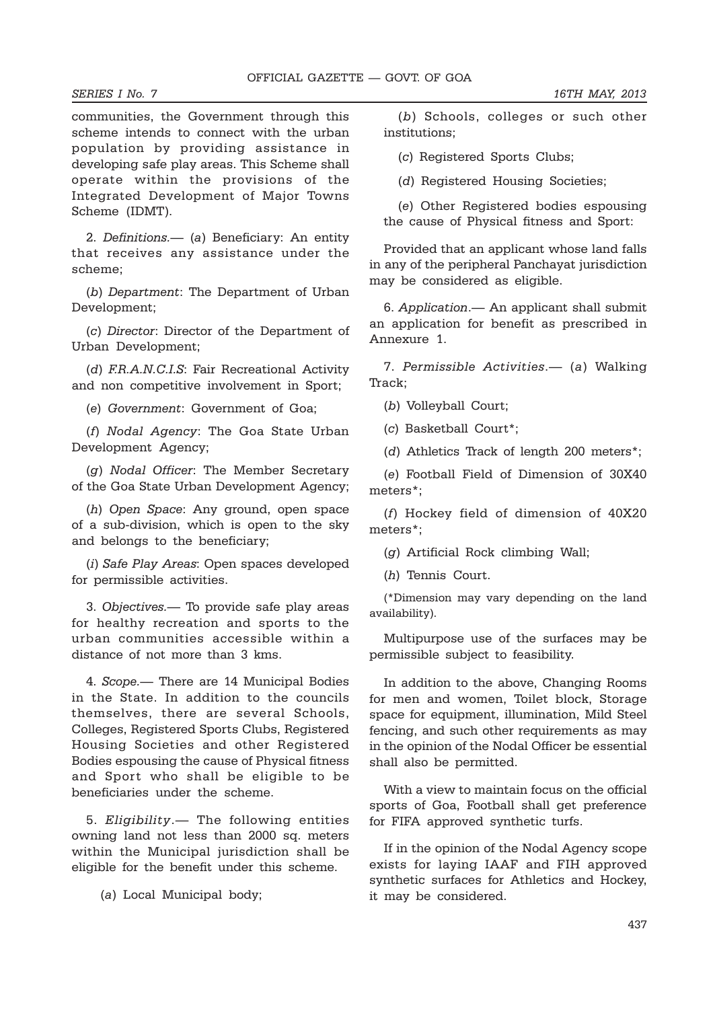communities, the Government through this scheme intends to connect with the urban population by providing assistance in developing safe play areas. This Scheme shall operate within the provisions of the Integrated Development of Major Towns Scheme (IDMT).

2. *Definitions.*— (*a*) Beneficiary: An entity that receives any assistance under the scheme;

(*b*) *Department*: The Department of Urban Development;

(*c*) *Director*: Director of the Department of Urban Development;

(*d*) *F.R.A.N.C.I.S*: Fair Recreational Activity and non competitive involvement in Sport;

(*e*) *Government*: Government of Goa;

(*f*) *Nodal Agency*: The Goa State Urban Development Agency;

(*g*) *Nodal Officer*: The Member Secretary of the Goa State Urban Development Agency;

(*h*) *Open Space*: Any ground, open space of a sub-division, which is open to the sky and belongs to the beneficiary;

(*i*) *Safe Play Areas*: Open spaces developed for permissible activities.

3. *Objectives.*— To provide safe play areas for healthy recreation and sports to the urban communities accessible within a distance of not more than 3 kms.

4. *Scope.*— There are 14 Municipal Bodies in the State. In addition to the councils themselves, there are several Schools, Colleges, Registered Sports Clubs, Registered Housing Societies and other Registered Bodies espousing the cause of Physical fitness and Sport who shall be eligible to be beneficiaries under the scheme.

5. *Eligibility*.— The following entities owning land not less than 2000 sq. meters within the Municipal jurisdiction shall be eligible for the benefit under this scheme.

(*a*) Local Municipal body;

(*b*) Schools, colleges or such other institutions;

(*c*) Registered Sports Clubs;

(*d*) Registered Housing Societies;

(*e*) Other Registered bodies espousing the cause of Physical fitness and Sport:

Provided that an applicant whose land falls in any of the peripheral Panchayat jurisdiction may be considered as eligible.

6. *Application*.— An applicant shall submit an application for benefit as prescribed in Annexure 1.

7. *Permissible Activities*.— (*a*) Walking Track;

(*b*) Volleyball Court;

(*c*) Basketball Court\*;

(*d*) Athletics Track of length 200 meters\*;

(*e*) Football Field of Dimension of 30X40 meters\*;

(*f*) Hockey field of dimension of 40X20 meters\*;

(*g*) Artificial Rock climbing Wall;

(*h*) Tennis Court.

(\*Dimension may vary depending on the land availability).

Multipurpose use of the surfaces may be permissible subject to feasibility.

In addition to the above, Changing Rooms for men and women, Toilet block, Storage space for equipment, illumination, Mild Steel fencing, and such other requirements as may in the opinion of the Nodal Officer be essential shall also be permitted.

With a view to maintain focus on the official sports of Goa, Football shall get preference for FIFA approved synthetic turfs.

If in the opinion of the Nodal Agency scope exists for laying IAAF and FIH approved synthetic surfaces for Athletics and Hockey, it may be considered.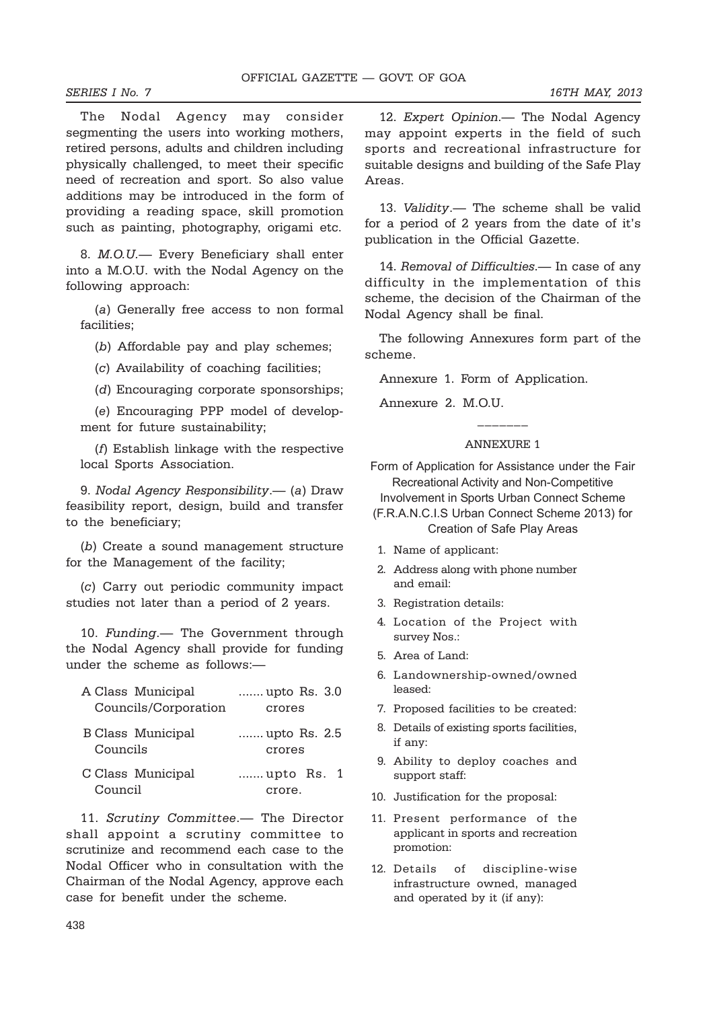The Nodal Agency may consider segmenting the users into working mothers, retired persons, adults and children including physically challenged, to meet their specific need of recreation and sport. So also value additions may be introduced in the form of providing a reading space, skill promotion such as painting, photography, origami etc.

8. *M.O.U.—* Every Beneficiary shall enter into a M.O.U. with the Nodal Agency on the following approach:

(*a*) Generally free access to non formal facilities;

(*b*) Affordable pay and play schemes;

(*c*) Availability of coaching facilities;

(*d*) Encouraging corporate sponsorships;

(*e*) Encouraging PPP model of development for future sustainability;

(*f*) Establish linkage with the respective local Sports Association.

9. *Nodal Agency Responsibility*.— (*a*) Draw feasibility report, design, build and transfer to the beneficiary;

(*b*) Create a sound management structure for the Management of the facility;

(*c*) Carry out periodic community impact studies not later than a period of 2 years.

10. *Funding*.— The Government through the Nodal Agency shall provide for funding under the scheme as follows:—

| A Class Municipal        | upto Rs. 3.0 |
|--------------------------|--------------|
| Councils/Corporation     | crores       |
| <b>B</b> Class Municipal | upto Rs. 2.5 |
| Councils                 | crores       |
| C Class Municipal        | upto Rs. 1   |
| Council                  | crore.       |

11. *Scrutiny Committee*.— The Director shall appoint a scrutiny committee to scrutinize and recommend each case to the Nodal Officer who in consultation with the Chairman of the Nodal Agency, approve each case for benefit under the scheme.

12. *Expert Opinion*.— The Nodal Agency may appoint experts in the field of such sports and recreational infrastructure for suitable designs and building of the Safe Play Areas.

13. *Validity*.— The scheme shall be valid for a period of 2 years from the date of it's publication in the Official Gazette.

14. *Removal of Difficulties*.— In case of any difficulty in the implementation of this scheme, the decision of the Chairman of the Nodal Agency shall be final.

The following Annexures form part of the scheme.

Annexure 1. Form of Application.

Annexure 2. M.O.U.

## ANNEXURE 1

 $\frac{1}{2}$ 

Form of Application for Assistance under the Fair Recreational Activity and Non-Competitive

Involvement in Sports Urban Connect Scheme

- (F.R.A.N.C.I.S Urban Connect Scheme 2013) for Creation of Safe Play Areas
- 1. Name of applicant:
- 2. Address along with phone number and email:
- 3. Registration details:
- 4. Location of the Project with survey Nos.:
- 5. Area of Land:
- 6. Landownership-owned/owned leased:
- 7. Proposed facilities to be created:
- 8. Details of existing sports facilities, if any:
- 9. Ability to deploy coaches and support staff:
- 10. Justification for the proposal:
- 11. Present performance of the applicant in sports and recreation promotion:
- 12. Details of discipline-wise infrastructure owned, managed and operated by it (if any):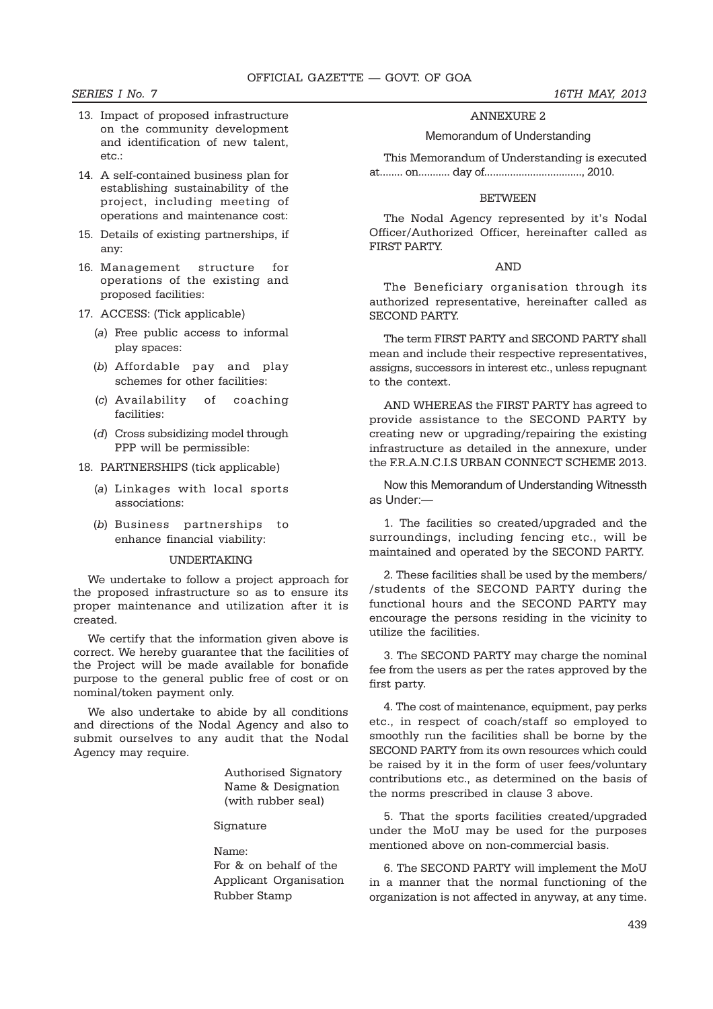- 13. Impact of proposed infrastructure on the community development and identification of new talent, etc.:
- 14. A self-contained business plan for establishing sustainability of the project, including meeting of operations and maintenance cost:
- 15. Details of existing partnerships, if any:
- 16. Management structure for operations of the existing and proposed facilities:
- 17. ACCESS: (Tick applicable)
	- (*a*) Free public access to informal play spaces:
	- (*b*) Affordable pay and play schemes for other facilities:
	- (*c*) Availability of coaching facilities:
	- (*d*) Cross subsidizing model through PPP will be permissible:
- 18. PARTNERSHIPS (tick applicable)
	- (*a*) Linkages with local sports associations:
	- (*b*) Business partnerships to enhance financial viability:

#### UNDERTAKING

We undertake to follow a project approach for the proposed infrastructure so as to ensure its proper maintenance and utilization after it is created.

We certify that the information given above is correct. We hereby guarantee that the facilities of the Project will be made available for bonafide purpose to the general public free of cost or on nominal/token payment only.

We also undertake to abide by all conditions and directions of the Nodal Agency and also to submit ourselves to any audit that the Nodal Agency may require.

> Authorised Signatory Name & Designation (with rubber seal)

Signature

#### Name:

For & on behalf of the Applicant Organisation Rubber Stamp

# ANNEXURE 2

#### Memorandum of Understanding

This Memorandum of Understanding is executed at........ on........... day of.................................., 2010.

#### **BETWEEN**

The Nodal Agency represented by it's Nodal Officer/Authorized Officer, hereinafter called as FIRST PARTY.

## AND

The Beneficiary organisation through its authorized representative, hereinafter called as SECOND PARTY.

The term FIRST PARTY and SECOND PARTY shall mean and include their respective representatives, assigns, successors in interest etc., unless repugnant to the context.

AND WHEREAS the FIRST PARTY has agreed to provide assistance to the SECOND PARTY by creating new or upgrading/repairing the existing infrastructure as detailed in the annexure, under the F.R.A.N.C.I.S URBAN CONNECT SCHEME 2013.

Now this Memorandum of Understanding Witnessth as Under:—

1. The facilities so created/upgraded and the surroundings, including fencing etc., will be maintained and operated by the SECOND PARTY.

2. These facilities shall be used by the members/ /students of the SECOND PARTY during the functional hours and the SECOND PARTY may encourage the persons residing in the vicinity to utilize the facilities.

3. The SECOND PARTY may charge the nominal fee from the users as per the rates approved by the first party.

4. The cost of maintenance, equipment, pay perks etc., in respect of coach/staff so employed to smoothly run the facilities shall be borne by the SECOND PARTY from its own resources which could be raised by it in the form of user fees/voluntary contributions etc., as determined on the basis of the norms prescribed in clause 3 above.

5. That the sports facilities created/upgraded under the MoU may be used for the purposes mentioned above on non-commercial basis.

6. The SECOND PARTY will implement the MoU in a manner that the normal functioning of the organization is not affected in anyway, at any time.